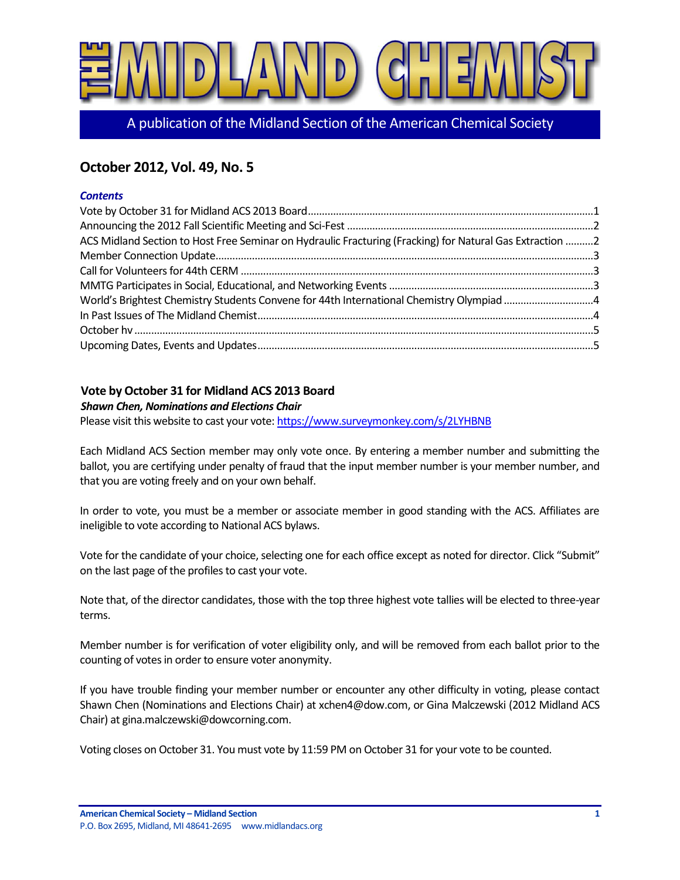

A publication of the Midland Section of the American Chemical Society

# **October 2012, Vol. 49, No. 5**

#### *Contents*

| ACS Midland Section to Host Free Seminar on Hydraulic Fracturing (Fracking) for Natural Gas Extraction 2 |  |
|----------------------------------------------------------------------------------------------------------|--|
|                                                                                                          |  |
|                                                                                                          |  |
|                                                                                                          |  |
|                                                                                                          |  |
|                                                                                                          |  |
|                                                                                                          |  |
|                                                                                                          |  |

### <span id="page-0-0"></span>**Vote by October 31 for Midland ACS 2013 Board**

#### *Shawn Chen, Nominations and Elections Chair*

Please visit this website to cast your vote[: https://www.surveymonkey.com/s/2LYHBNB](https://www.surveymonkey.com/s/2LYHBNB)

Each Midland ACS Section member may only vote once. By entering a member number and submitting the ballot, you are certifying under penalty of fraud that the input member number is your member number, and that you are voting freely and on your own behalf.

In order to vote, you must be a member or associate member in good standing with the ACS. Affiliates are ineligible to vote according to National ACS bylaws.

Vote for the candidate of your choice, selecting one for each office except as noted for director. Click "Submit" on the last page of the profiles to cast your vote.

Note that, of the director candidates, those with the top three highest vote tallies will be elected to three-year terms.

Member number is for verification of voter eligibility only, and will be removed from each ballot prior to the counting of votes in order to ensure voter anonymity.

If you have trouble finding your member number or encounter any other difficulty in voting, please contact Shawn Chen (Nominations and Elections Chair) at xchen4@dow.com, or Gina Malczewski (2012 Midland ACS Chair) at gina.malczewski@dowcorning.com.

Voting closes on October 31. You must vote by 11:59 PM on October 31 for your vote to be counted.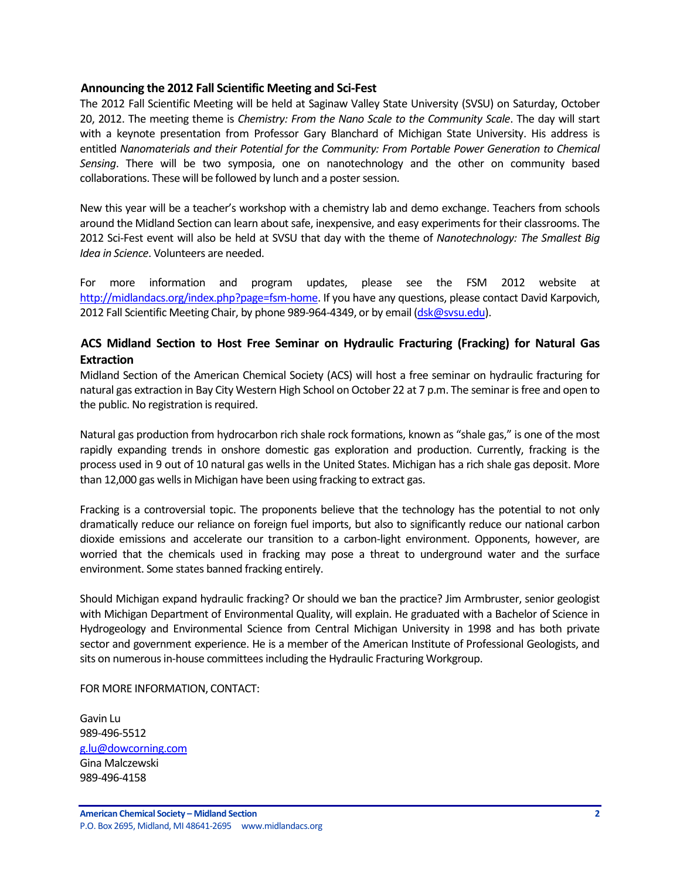#### <span id="page-1-0"></span>**Announcing the 2012 Fall Scientific Meeting and Sci-Fest**

The 2012 Fall Scientific Meeting will be held at Saginaw Valley State University (SVSU) on Saturday, October 20, 2012. The meeting theme is *Chemistry: From the Nano Scale to the Community Scale*. The day will start with a keynote presentation from Professor Gary Blanchard of Michigan State University. His address is entitled *Nanomaterials and their Potential for the Community: From Portable Power Generation to Chemical Sensing*. There will be two symposia, one on nanotechnology and the other on community based collaborations. These will be followed by lunch and a poster session.

New this year will be a teacher's workshop with a chemistry lab and demo exchange. Teachers from schools around the Midland Section can learn about safe, inexpensive, and easy experiments for their classrooms. The 2012 Sci-Fest event will also be held at SVSU that day with the theme of *Nanotechnology: The Smallest Big Idea in Science*. Volunteers are needed.

For more information and program updates, please see the FSM 2012 website at [http://midlandacs.org/index.php?page=fsm-home.](http://midlandacs.org/index.php?page=fsm-home) If you have any questions, please contact David Karpovich, 2012 Fall Scientific Meeting Chair, by phone 989-964-4349, or by email [\(dsk@svsu.edu\)](mailto:dsk@svsu.edu).

### <span id="page-1-1"></span>**ACS Midland Section to Host Free Seminar on Hydraulic Fracturing (Fracking) for Natural Gas Extraction**

Midland Section of the American Chemical Society (ACS) will host a free seminar on hydraulic fracturing for natural gas extraction in Bay City Western High School on October 22 at 7 p.m. The seminar is free and open to the public. No registration is required.

Natural gas production from hydrocarbon rich shale rock formations, known as "shale gas," is one of the most rapidly expanding trends in onshore domestic gas exploration and production. Currently, fracking is the process used in 9 out of 10 natural gas wells in the United States. Michigan has a rich shale gas deposit. More than 12,000 gas wells in Michigan have been using fracking to extract gas.

Fracking is a controversial topic. The proponents believe that the technology has the potential to not only dramatically reduce our reliance on foreign fuel imports, but also to significantly reduce our national carbon dioxide emissions and accelerate our transition to a carbon-light environment. Opponents, however, are worried that the chemicals used in fracking may pose a threat to underground water and the surface environment. Some states banned fracking entirely.

Should Michigan expand hydraulic fracking? Or should we ban the practice? Jim Armbruster, senior geologist with Michigan Department of Environmental Quality, will explain. He graduated with a Bachelor of Science in Hydrogeology and Environmental Science from Central Michigan University in 1998 and has both private sector and government experience. He is a member of the American Institute of Professional Geologists, and sits on numerous in-house committees including the Hydraulic Fracturing Workgroup.

FOR MORE INFORMATION, CONTACT:

Gavin Lu 989-496-5512 [g.lu@dowcorning.com](mailto:g.lu@dowcorning.com) Gina Malczewski 989-496-4158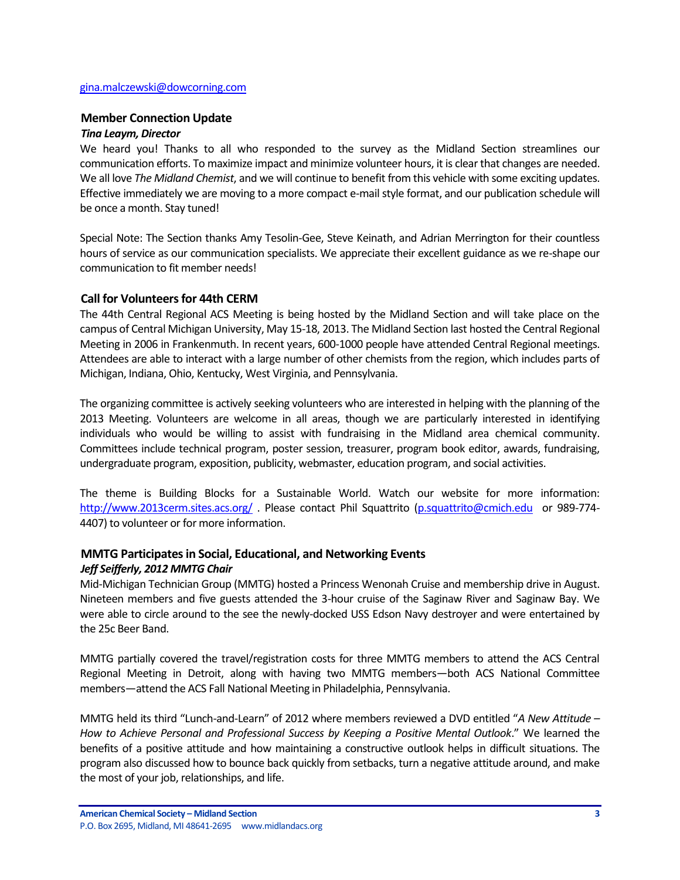#### [gina.malczewski@dowcorning.com](mailto:gina.malczewski@dowcorning.com)

#### <span id="page-2-0"></span>**Member Connection Update**

#### *Tina Leaym, Director*

We heard you! Thanks to all who responded to the survey as the Midland Section streamlines our communication efforts. To maximize impact and minimize volunteer hours, it is clear that changes are needed. We all love *The Midland Chemist*, and we will continue to benefit from this vehicle with some exciting updates. Effective immediately we are moving to a more compact e-mail style format, and our publication schedule will be once a month. Stay tuned!

Special Note: The Section thanks Amy Tesolin-Gee, Steve Keinath, and Adrian Merrington for their countless hours of service as our communication specialists. We appreciate their excellent guidance as we re-shape our communication to fit member needs!

#### <span id="page-2-1"></span>**Call for Volunteers for 44th CERM**

The 44th Central Regional ACS Meeting is being hosted by the Midland Section and will take place on the campus of Central Michigan University, May 15-18, 2013. The Midland Section last hosted the Central Regional Meeting in 2006 in Frankenmuth. In recent years, 600-1000 people have attended Central Regional meetings. Attendees are able to interact with a large number of other chemists from the region, which includes parts of Michigan, Indiana, Ohio, Kentucky, West Virginia, and Pennsylvania.

The organizing committee is actively seeking volunteers who are interested in helping with the planning of the 2013 Meeting. Volunteers are welcome in all areas, though we are particularly interested in identifying individuals who would be willing to assist with fundraising in the Midland area chemical community. Committees include technical program, poster session, treasurer, program book editor, awards, fundraising, undergraduate program, exposition, publicity, webmaster, education program, and social activities.

The theme is Building Blocks for a Sustainable World. Watch our website for more information: <http://www.2013cerm.sites.acs.org/> . Please contact Phil Squattrito [\(p.squattrito@cmich.edu](mailto:p.squattrito@cmich.edu) or 989-774- 4407) to volunteer or for more information.

### <span id="page-2-2"></span>**MMTG Participates in Social, Educational, and Networking Events**

#### *Jeff Seifferly, 2012 MMTG Chair*

Mid-Michigan Technician Group (MMTG) hosted a Princess Wenonah Cruise and membership drive in August. Nineteen members and five guests attended the 3-hour cruise of the Saginaw River and Saginaw Bay. We were able to circle around to the see the newly-docked USS Edson Navy destroyer and were entertained by the 25c Beer Band.

MMTG partially covered the travel/registration costs for three MMTG members to attend the ACS Central Regional Meeting in Detroit, along with having two MMTG members—both ACS National Committee members—attend the ACS Fall National Meeting in Philadelphia, Pennsylvania.

MMTG held its third "Lunch-and-Learn" of 2012 where members reviewed a DVD entitled "*A New Attitude – How to Achieve Personal and Professional Success by Keeping a Positive Mental Outlook*." We learned the benefits of a positive attitude and how maintaining a constructive outlook helps in difficult situations. The program also discussed how to bounce back quickly from setbacks, turn a negative attitude around, and make the most of your job, relationships, and life.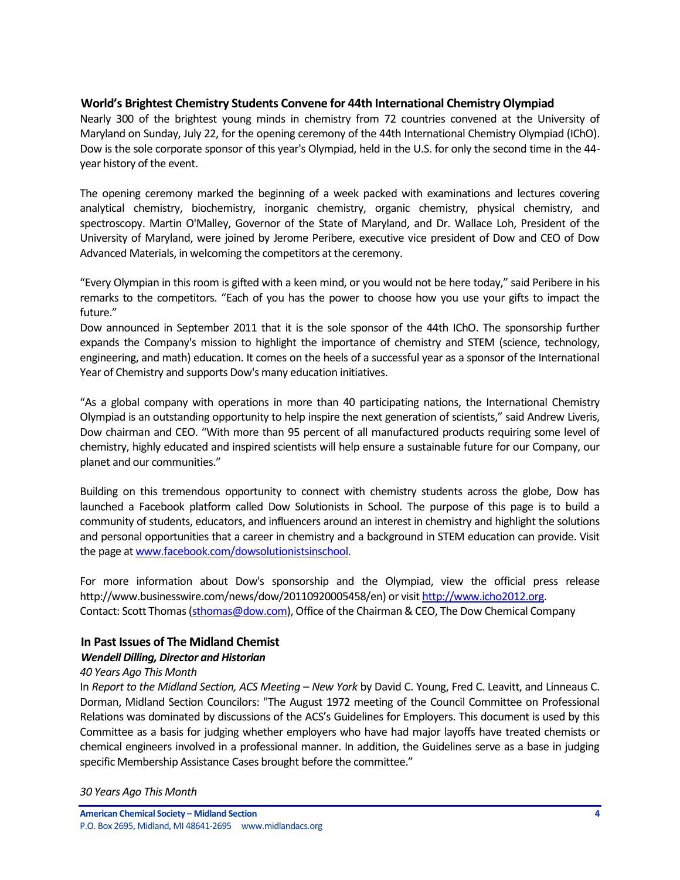### <span id="page-3-0"></span>**World's Brightest Chemistry Students Convene for 44th International Chemistry Olympiad**

Nearly 300 of the brightest young minds in chemistry from 72 countries convened at the University of Maryland on Sunday, July 22, for the opening ceremony of the 44th International Chemistry Olympiad (IChO). Dow is the sole corporate sponsor of this year's Olympiad, held in the U.S. for only the second time in the 44 year history of the event.

The opening ceremony marked the beginning of a week packed with examinations and lectures covering analytical chemistry, biochemistry, inorganic chemistry, organic chemistry, physical chemistry, and spectroscopy. Martin O'Malley, Governor of the State of Maryland, and Dr. Wallace Loh, President of the University of Maryland, were joined by Jerome Peribere, executive vice president of Dow and CEO of Dow Advanced Materials, in welcoming the competitors at the ceremony.

"Every Olympian in this room is gifted with a keen mind, or you would not be here today," said Peribere in his remarks to the competitors. "Each of you has the power to choose how you use your gifts to impact the future."

Dow announced in September 2011 that it is the sole sponsor of the 44th IChO. The sponsorship further expands the Company's mission to highlight the importance of chemistry and STEM (science, technology, engineering, and math) education. It comes on the heels of a successful year as a sponsor of the International Year of Chemistry and supports Dow's many education initiatives.

"As a global company with operations in more than 40 participating nations, the International Chemistry Olympiad is an outstanding opportunity to help inspire the next generation of scientists," said Andrew Liveris, Dow chairman and CEO. "With more than 95 percent of all manufactured products requiring some level of chemistry, highly educated and inspired scientists will help ensure a sustainable future for our Company, our planet and our communities."

Building on this tremendous opportunity to connect with chemistry students across the globe, Dow has launched a Facebook platform called Dow Solutionists in School. The purpose of this page is to build a community of students, educators, and influencers around an interest in chemistry and highlight the solutions and personal opportunities that a career in chemistry and a background in STEM education can provide. Visit the page a[t www.facebook.com/dowsolutionistsinschool.](http://www.facebook.com/dowsolutionistsinschool)

For more information about Dow's sponsorship and the Olympiad, view the official press release http://www.businesswire.com/news/dow/20110920005458/en) or visi[t http://www.icho2012.org.](http://www.icho2012.org/) Contact: Scott Thomas [\(sthomas@dow.com\)](mailto:sthomas@dow.com), Office of the Chairman & CEO, The Dow Chemical Company

## <span id="page-3-1"></span>**In Past Issues of The Midland Chemist**

#### *Wendell Dilling, Director and Historian*

#### *40 Years Ago This Month*

In *Report to the Midland Section, ACS Meeting – New York* by David C. Young, Fred C. Leavitt, and Linneaus C. Dorman, Midland Section Councilors: "The August 1972 meeting of the Council Committee on Professional Relations was dominated by discussions of the ACS's Guidelines for Employers. This document is used by this Committee as a basis for judging whether employers who have had major layoffs have treated chemists or chemical engineers involved in a professional manner. In addition, the Guidelines serve as a base in judging specific Membership Assistance Cases brought before the committee."

#### *30 Years Ago This Month*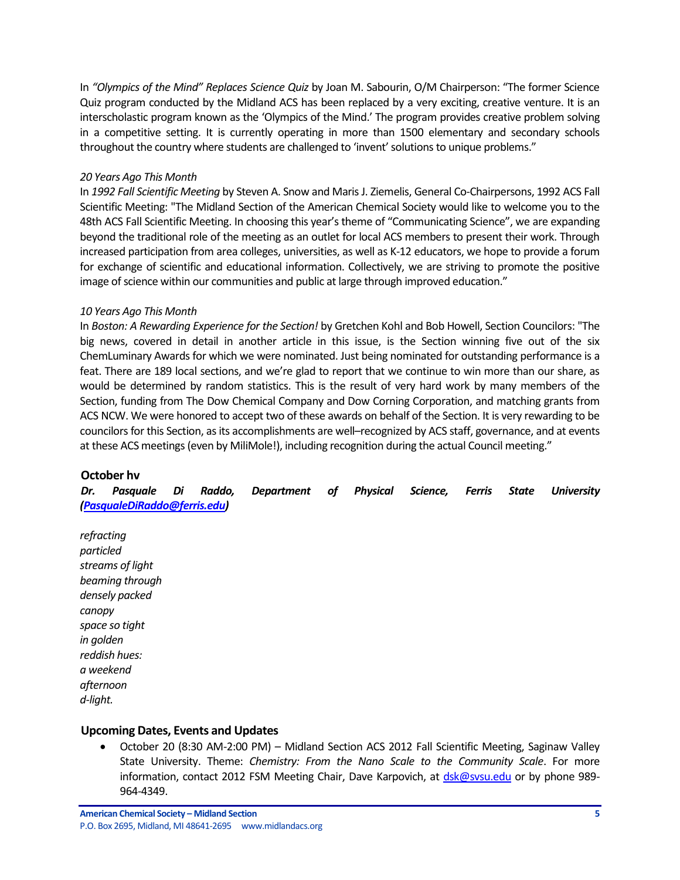In *"Olympics of the Mind" Replaces Science Quiz* by Joan M. Sabourin, O/M Chairperson: "The former Science Quiz program conducted by the Midland ACS has been replaced by a very exciting, creative venture. It is an interscholastic program known as the 'Olympics of the Mind.' The program provides creative problem solving in a competitive setting. It is currently operating in more than 1500 elementary and secondary schools throughout the country where students are challenged to 'invent' solutions to unique problems."

#### *20 Years Ago This Month*

In *1992 Fall Scientific Meeting* by Steven A. Snow and Maris J. Ziemelis, General Co-Chairpersons, 1992 ACS Fall Scientific Meeting: "The Midland Section of the American Chemical Society would like to welcome you to the 48th ACS Fall Scientific Meeting. In choosing this year's theme of "Communicating Science", we are expanding beyond the traditional role of the meeting as an outlet for local ACS members to present their work. Through increased participation from area colleges, universities, as well as K-12 educators, we hope to provide a forum for exchange of scientific and educational information. Collectively, we are striving to promote the positive image of science within our communities and public at large through improved education."

### *10 Years Ago This Month*

In *Boston: A Rewarding Experience for the Section!* by Gretchen Kohl and Bob Howell, Section Councilors: "The big news, covered in detail in another article in this issue, is the Section winning five out of the six ChemLuminary Awards for which we were nominated. Just being nominated for outstanding performance is a feat. There are 189 local sections, and we're glad to report that we continue to win more than our share, as would be determined by random statistics. This is the result of very hard work by many members of the Section, funding from The Dow Chemical Company and Dow Corning Corporation, and matching grants from ACS NCW. We were honored to accept two of these awards on behalf of the Section. It is very rewarding to be councilors for this Section, as its accomplishments are well–recognized by ACS staff, governance, and at events at these ACS meetings (even by MiliMole!), including recognition during the actual Council meeting."

### <span id="page-4-0"></span>**October hv**

*Dr. Pasquale Di Raddo, Department of Physical Science, Ferris State University [\(PasqualeDiRaddo@ferris.edu\)](mailto:PasqualeDiRaddo@ferris.edu)*

*refracting particled streams of light beaming through densely packed canopy space so tight in golden reddish hues: a weekend afternoon d-light.*

### <span id="page-4-1"></span>**Upcoming Dates, Events and Updates**

 October 20 (8:30 AM-2:00 PM) – Midland Section ACS 2012 Fall Scientific Meeting, Saginaw Valley State University. Theme: *Chemistry: From the Nano Scale to the Community Scale*. For more information, contact 2012 FSM Meeting Chair, Dave Karpovich, at [dsk@svsu.edu](mailto:dsk@svsu.edu) or by phone 989-964-4349.